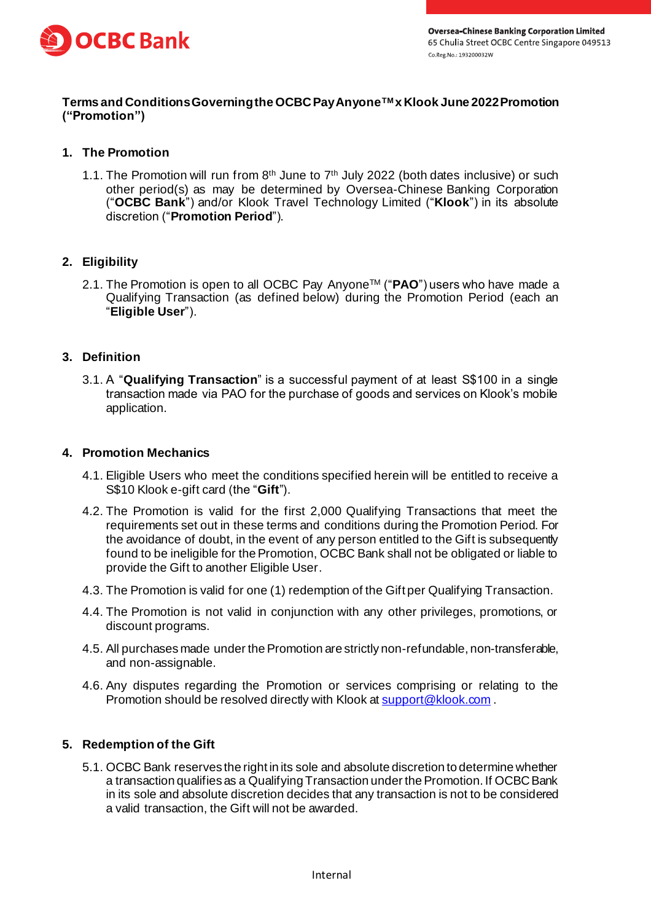

### **Terms and Conditions Governing the OCBC Pay AnyoneTM x Klook June 2022Promotion ("Promotion")**

# **1. The Promotion**

1.1. The Promotion will run from  $8<sup>th</sup>$  June to  $7<sup>th</sup>$  July 2022 (both dates inclusive) or such other period(s) as may be determined by Oversea-Chinese Banking Corporation ("**OCBC Bank**") and/or Klook Travel Technology Limited ("**Klook**") in its absolute discretion ("**Promotion Period**").

# **2. Eligibility**

2.1. The Promotion is open to all OCBC Pay AnyoneTM ("**PAO**") users who have made a Qualifying Transaction (as defined below) during the Promotion Period (each an "**Eligible User**").

#### **3. Definition**

3.1. A "**Qualifying Transaction**" is a successful payment of at least S\$100 in a single transaction made via PAO for the purchase of goods and services on Klook's mobile application.

#### **4. Promotion Mechanics**

- 4.1. Eligible Users who meet the conditions specified herein will be entitled to receive a S\$10 Klook e-gift card (the "**Gift**").
- 4.2. The Promotion is valid for the first 2,000 Qualifying Transactions that meet the requirements set out in these terms and conditions during the Promotion Period. For the avoidance of doubt, in the event of any person entitled to the Gift is subsequently found to be ineligible for the Promotion, OCBC Bank shall not be obligated or liable to provide the Gift to another Eligible User.
- 4.3. The Promotion is valid for one (1) redemption of the Gift per Qualifying Transaction.
- 4.4. The Promotion is not valid in conjunction with any other privileges, promotions, or discount programs.
- 4.5. All purchases made under the Promotion are strictly non-refundable, non-transferable, and non-assignable.
- 4.6. Any disputes regarding the Promotion or services comprising or relating to the Promotion should be resolved directly with Klook a[t support@klook.com](mailto:support@klook.com) .

#### **5. Redemption of the Gift**

5.1. OCBC Bank reserves the right in its sole and absolute discretion to determine whether a transaction qualifies as a Qualifying Transaction under the Promotion. If OCBC Bank in its sole and absolute discretion decides that any transaction is not to be considered a valid transaction, the Gift will not be awarded.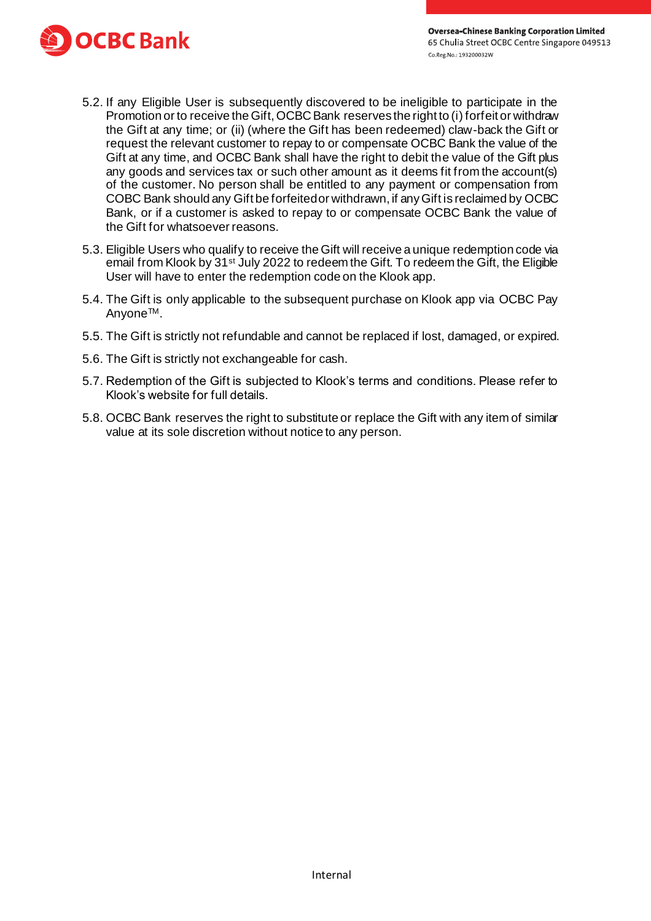

- 5.2. If any Eligible User is subsequently discovered to be ineligible to participate in the Promotion or to receive the Gift, OCBC Bank reserves the right to (i) forfeit or withdraw the Gift at any time; or (ii) (where the Gift has been redeemed) claw-back the Gift or request the relevant customer to repay to or compensate OCBC Bank the value of the Gift at any time, and OCBC Bank shall have the right to debit the value of the Gift plus any goods and services tax or such other amount as it deems fit from the account(s) of the customer. No person shall be entitled to any payment or compensation from COBC Bank should any Gift be forfeited or withdrawn, if any Gift is reclaimed by OCBC Bank, or if a customer is asked to repay to or compensate OCBC Bank the value of the Gift for whatsoever reasons.
- 5.3. Eligible Users who qualify to receive the Gift will receive a unique redemption code via email from Klook by 31<sup>st</sup> July 2022 to redeem the Gift. To redeem the Gift, the Eligible User will have to enter the redemption code on the Klook app.
- 5.4. The Gift is only applicable to the subsequent purchase on Klook app via OCBC Pay AnyoneTM.
- 5.5. The Gift is strictly not refundable and cannot be replaced if lost, damaged, or expired.
- 5.6. The Gift is strictly not exchangeable for cash.
- 5.7. Redemption of the Gift is subjected to Klook's terms and conditions. Please refer to Klook's website for full details.
- 5.8. OCBC Bank reserves the right to substitute or replace the Gift with any item of similar value at its sole discretion without notice to any person.